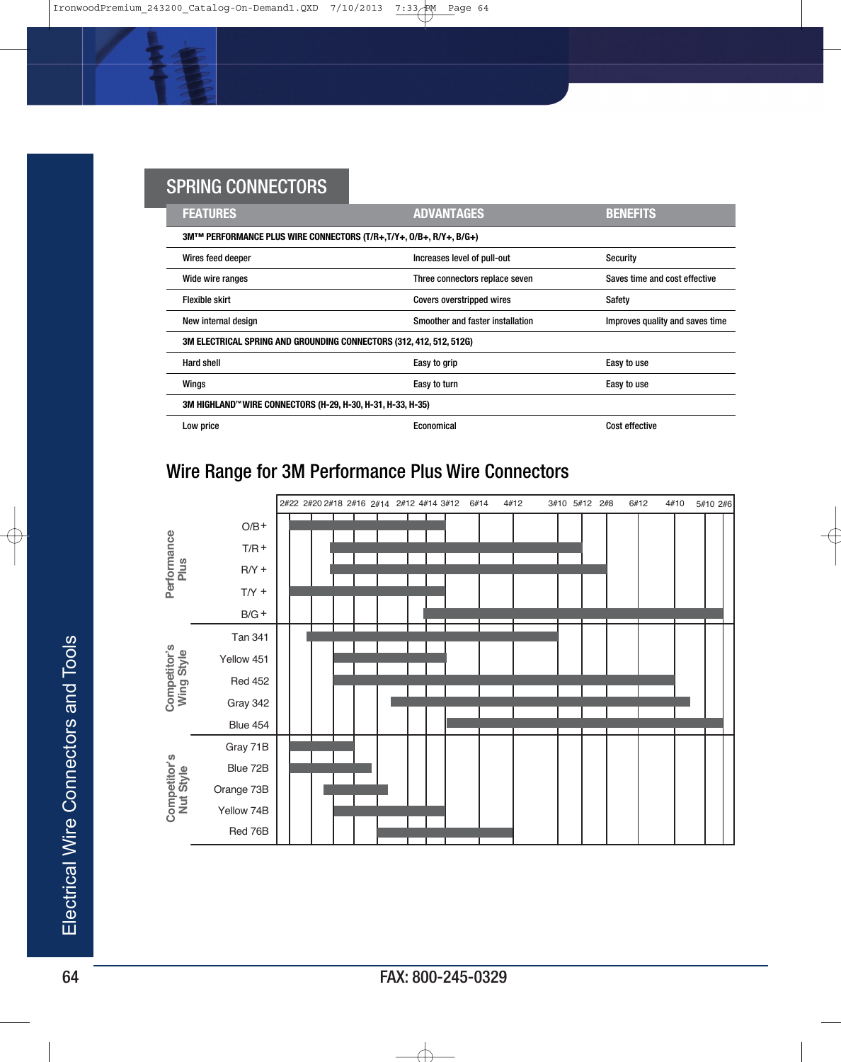| <u>oi illita ooltiteotoito</u> |                                                                     |                                  |                                 |
|--------------------------------|---------------------------------------------------------------------|----------------------------------|---------------------------------|
|                                | <b>FEATURES</b>                                                     | <b>ADVANTAGES</b>                | <b>BENEFITS</b>                 |
|                                | 3MTM PERFORMANCE PLUS WIRE CONNECTORS (T/R+,T/Y+, 0/B+, R/Y+, B/G+) |                                  |                                 |
|                                | Wires feed deeper                                                   | Increases level of pull-out      | Security                        |
|                                | Wide wire ranges                                                    | Three connectors replace seven   | Saves time and cost effective   |
|                                | <b>Flexible skirt</b>                                               | Covers overstripped wires        | Safety                          |
|                                | New internal design                                                 | Smoother and faster installation | Improves quality and saves time |
|                                | 3M ELECTRICAL SPRING AND GROUNDING CONNECTORS (312, 412, 512, 512G) |                                  |                                 |
|                                | Hard shell                                                          | Easy to grip                     | Easy to use                     |
|                                | Wings                                                               | Easy to turn                     | Easy to use                     |
|                                | 3M HIGHLAND™ WIRE CONNECTORS (H-29, H-30, H-31, H-33, H-35)         |                                  |                                 |
|                                | Low price                                                           | Economical                       | <b>Cost effective</b>           |

## Wire Range for 3M Performance Plus Wire Connectors

SPRING CONNECTORS